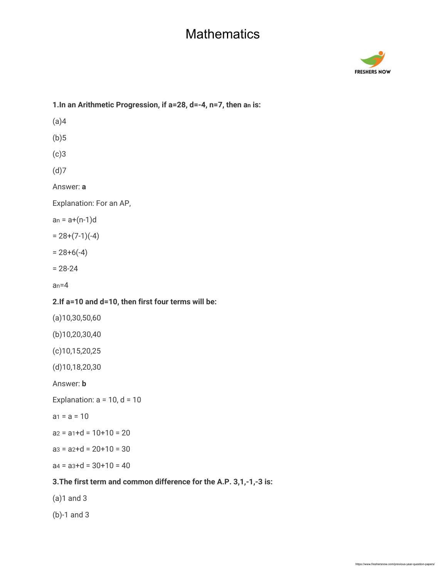

| 1. In an Arithmetic Progression, if a=28, d=-4, n=7, then an is:   |
|--------------------------------------------------------------------|
| (a)4                                                               |
| (b)5                                                               |
| (c)3                                                               |
| (d)7                                                               |
| Answer: a                                                          |
| Explanation: For an AP,                                            |
| $an = a+(n-1)d$                                                    |
| $= 28+(7-1)(-4)$                                                   |
| $= 28+6(-4)$                                                       |
| $= 28 - 24$                                                        |
| $an=4$                                                             |
| 2. If a=10 and d=10, then first four terms will be:                |
| $(a)$ 10,30,50,60                                                  |
| (b)10,20,30,40                                                     |
| $(c)$ 10,15,20,25                                                  |
| $(d)$ 10,18,20,30                                                  |
| Answer: <b>b</b>                                                   |
| Explanation: $a = 10$ , $d = 10$                                   |
| $a_1 = a = 10$                                                     |
| $az = a_1 + d = 10 + 10 = 20$                                      |
| $a3 = a2+d = 20+10 = 30$                                           |
| $a4 = a3+d = 30+10 = 40$                                           |
| 3. The first term and common difference for the A.P. 3,1,-1,-3 is: |
| $(a)1$ and 3                                                       |
|                                                                    |

(b)-1 and 3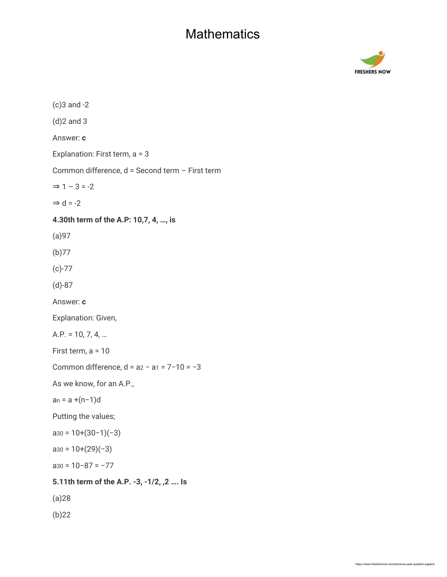

(c)3 and -2 (d)2 and 3 Answer: **c** Explanation: First term, a = 3 Common difference, d = Second term – First term  $\Rightarrow$  1 – 3 = -2  $\Rightarrow$  d = -2 **4.30th term of the A.P: 10,7, 4, …, is** (a)97 (b)77 (c)-77 (d)-87 Answer: **c** Explanation: Given, A.P. = 10, 7, 4, … First term, a = 10 Common difference, d = a2 − a1 = 7−10 = −3 As we know, for an A.P., an = a +(n−1)d Putting the values;  $a_{30} = 10+(30-1)(-3)$  $a_{30} = 10+(29)(-3)$ a30 = 10−87 = −77 **5.11th term of the A.P. -3, -1/2, ,2 …. Is** (a)28 (b)22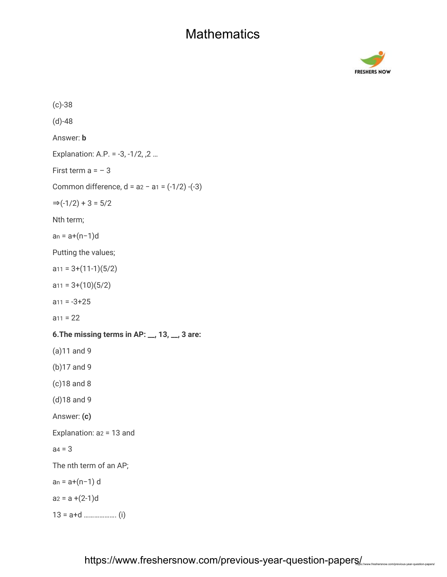

(c)-38 (d)-48 Answer: **b** Explanation: A.P. = -3, -1/2, ,2 … First term  $a = -3$ Common difference, d = a2 − a1 = (-1/2) -(-3)  $\Rightarrow$ (-1/2) + 3 = 5/2 Nth term; an = a+(n−1)d Putting the values;  $a_{11} = 3+(11-1)(5/2)$  $a_{11} = 3+(10)(5/2)$  $a_{11} = -3 + 25$  $a_{11} = 22$ **6.The missing terms in AP: \_\_, 13, \_\_, 3 are:** (a)11 and 9 (b)17 and 9 (c)18 and 8 (d)18 and 9 Answer: **(c)** Explanation: a2 = 13 and  $aa = 3$ The nth term of an AP; an = a+(n−1) d  $a_2 = a + (2-1)d$ 13 = a+d ………………. (i)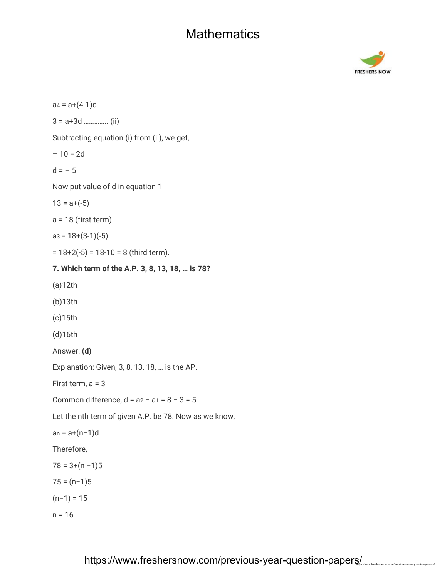

 $a4 = a+(4-1)d$ 3 = a+3d ………….. (ii) Subtracting equation (i) from (ii), we get,  $-10 = 2d$  $d = -5$ Now put value of d in equation 1  $13 = a + (-5)$  $a = 18$  (first term)  $a3 = 18+(3-1)(-5)$  $= 18+2(-5) = 18-10 = 8$  (third term). **7. Which term of the A.P. 3, 8, 13, 18, … is 78?** (a)12th (b)13th (c)15th (d)16th Answer: **(d)** Explanation: Given, 3, 8, 13, 18, … is the AP. First term, a = 3 Common difference, d = a2 − a1 = 8 − 3 = 5 Let the nth term of given A.P. be 78. Now as we know, an = a+(n−1)d Therefore,  $78 = 3+(n-1)5$  $75 = (n-1)5$  $(n−1) = 15$  $n = 16$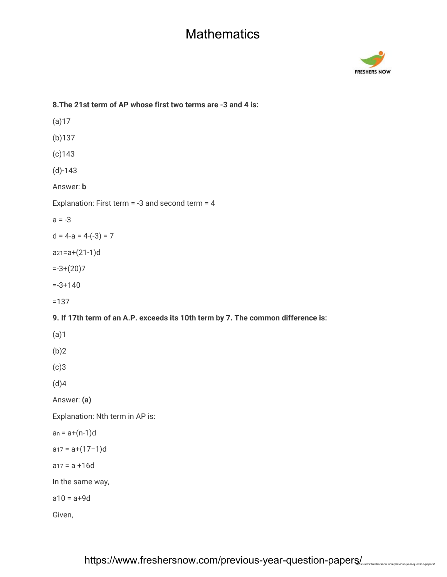

## **8.The 21st term of AP whose first two terms are -3 and 4 is:** (a)17 (b)137 (c)143 (d)-143 Answer: **b** Explanation: First term = -3 and second term = 4  $a = -3$  $d = 4-a = 4-(-3) = 7$ a21=a+(21-1)d  $=-3+(20)7$  $= -3 + 140$ =137 **9. If 17th term of an A.P. exceeds its 10th term by 7. The common difference is:** (a)1 (b)2 (c)3 (d)4 Answer: **(a)** Explanation: Nth term in AP is:  $an = a+(n-1)d$ a17 = a+(17−1)d  $a_{17} = a + 16d$ In the same way,  $a10 = a + 9d$ Given,

https://www.freshersnow.com/previous-year-question-papers/ https://www.freshersnow.com/previous-year-question-papers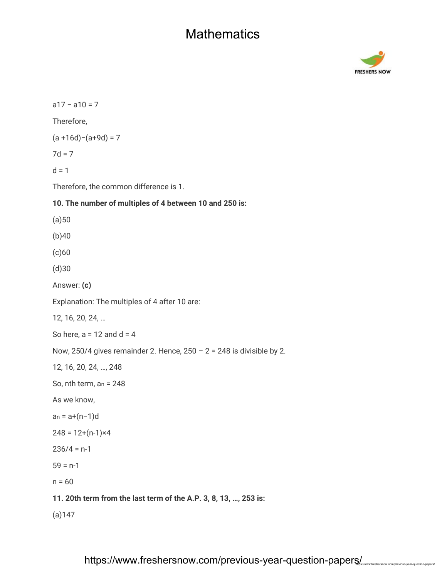

a17 − a10 = 7 Therefore, (a +16d)−(a+9d) = 7  $7d = 7$  $d = 1$ Therefore, the common difference is 1. **10. The number of multiples of 4 between 10 and 250 is:**  $(a)50$ (b)40 (c)60 (d)30 Answer: **(c)** Explanation: The multiples of 4 after 10 are: 12, 16, 20, 24, … So here,  $a = 12$  and  $d = 4$ Now, 250/4 gives remainder 2. Hence,  $250 - 2 = 248$  is divisible by 2. 12, 16, 20, 24, …, 248 So, nth term, an = 248 As we know, an = a+(n−1)d  $248 = 12+(n-1)x4$  $236/4 = n-1$  $59 = n-1$  $n = 60$ **11. 20th term from the last term of the A.P. 3, 8, 13, …, 253 is:** (a)147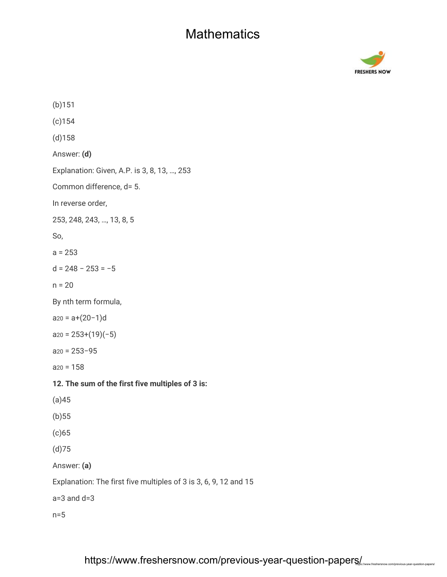

(b)151 (c)154 (d)158 Answer: **(d)** Explanation: Given, A.P. is 3, 8, 13, …, 253 Common difference, d= 5. In reverse order, 253, 248, 243, …, 13, 8, 5 So,  $a = 253$ d = 248 − 253 = −5  $n = 20$ By nth term formula, a20 = a+(20−1)d  $a_{20} = 253+(19)(-5)$ a20 = 253−95  $a_{20} = 158$ **12. The sum of the first five multiples of 3 is:** (a)45 (b)55 (c)65 (d)75 Answer: **(a)** Explanation: The first five multiples of 3 is 3, 6, 9, 12 and 15 a=3 and d=3 n=5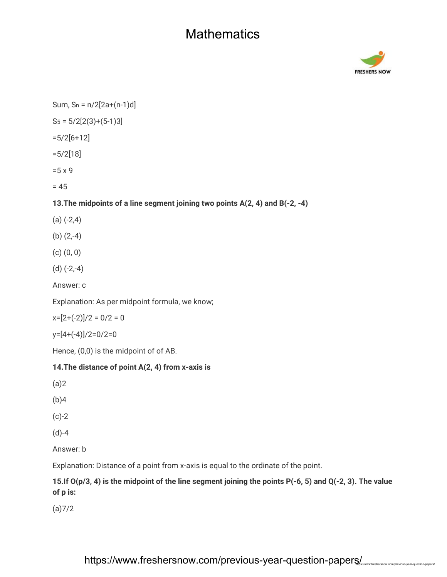

Sum,  $Sn = n/2[2a+(n-1)d]$ 

 $S_5 = 5/2[2(3)+(5-1)3]$ 

=5/2[6+12]

=5/2[18]

=5 x 9

 $= 45$ 

#### **13.The midpoints of a line segment joining two points A(2, 4) and B(-2, -4)**

- $(a)$   $(-2,4)$
- (b) (2,-4)
- (c) (0, 0)
- $(d)$   $(-2,-4)$

Answer: c

Explanation: As per midpoint formula, we know;

 $x=[2+(-2)]/2=0/2=0$ 

y=[4+(-4)]/2=0/2=0

Hence, (0,0) is the midpoint of of AB.

#### **14.The distance of point A(2, 4) from x-axis is**

(a)2

(b)4

(c)-2

(d)-4

Answer: b

Explanation: Distance of a point from x-axis is equal to the ordinate of the point.

#### **15.If O(p/3, 4) is the midpoint of the line segment joining the points P(-6, 5) and Q(-2, 3). The value of p is:**

(a)7/2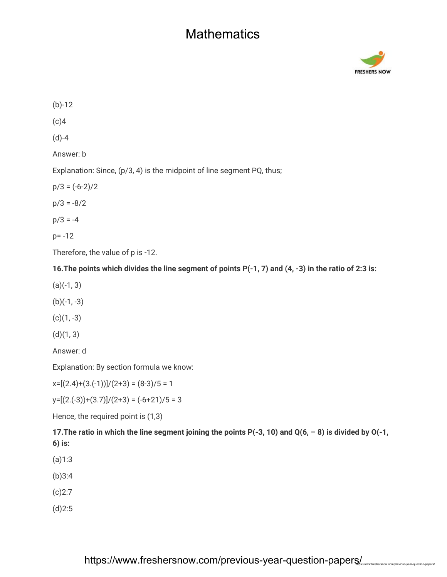

(b)-12  $(c)4$ (d)-4 Answer: b Explanation: Since, (p/3, 4) is the midpoint of line segment PQ, thus;  $p/3 = (-6-2)/2$  $p/3 = -8/2$  $p/3 = -4$ p= -12 Therefore, the value of p is -12.

**16.The points which divides the line segment of points P(-1, 7) and (4, -3) in the ratio of 2:3 is:**

- $(a)(-1, 3)$
- $(b)(-1, -3)$

 $(c)(1, -3)$ 

 $(d)(1, 3)$ 

Answer: d

Explanation: By section formula we know:

 $x=[(2.4)+(3.(-1))]/(2+3) = (8-3)/5 = 1$ 

 $y=[(2.(-3))+(3.7)]/(2+3) = (-6+21)/5 = 3$ 

Hence, the required point is (1,3)

**17.The ratio in which the line segment joining the points P(-3, 10) and Q(6, – 8) is divided by O(-1, 6) is:**

- (a)1:3
- (b)3:4
- (c)2:7
- (d)2:5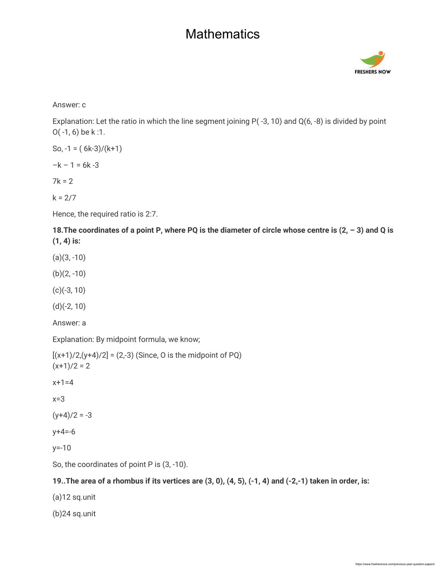

Answer: c

Explanation: Let the ratio in which the line segment joining P( -3, 10) and Q(6, -8) is divided by point O( -1, 6) be k :1.

So, 
$$
-1 = (6k-3)/(k+1)
$$

 $-k - 1 = 6k - 3$ 

 $7k = 2$ 

 $k = 2/7$ 

Hence, the required ratio is 2:7.

**18.The coordinates of a point P, where PQ is the diameter of circle whose centre is (2, – 3) and Q is (1, 4) is:**

 $(a)(3, -10)$ 

 $(b)(2, -10)$ 

(c)(-3, 10)

(d)(-2, 10)

Answer: a

Explanation: By midpoint formula, we know;

 $[(x+1)/2,(y+4)/2] = (2,-3)$  (Since, O is the midpoint of PQ)  $(x+1)/2 = 2$ 

 $x+1=4$ 

x=3

 $(y+4)/2 = -3$ 

 $y + 4 = -6$ 

y=-10

So, the coordinates of point P is  $(3, -10)$ .

#### **19..The area of a rhombus if its vertices are (3, 0), (4, 5), (-1, 4) and (-2,-1) taken in order, is:**

(a)12 sq.unit

(b)24 sq.unit